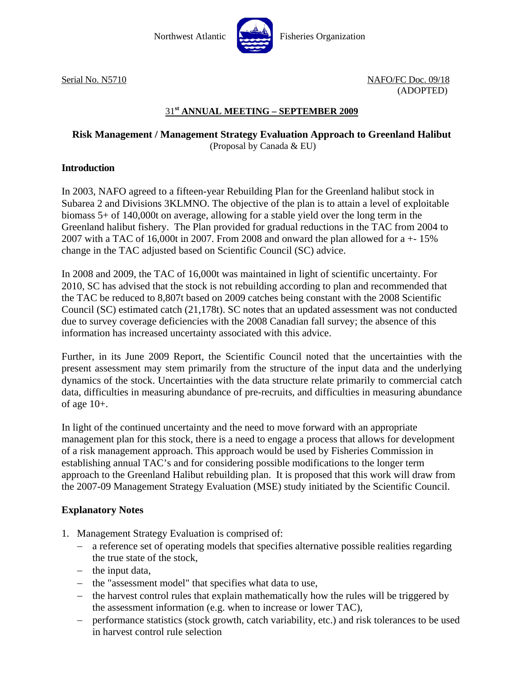

Serial No. N5710 NAFO/FC Doc. 09/18 (ADOPTED)

# 31**st ANNUAL MEETING – SEPTEMBER 2009**

### **Risk Management / Management Strategy Evaluation Approach to Greenland Halibut**  (Proposal by Canada & EU)

#### **Introduction**

In 2003, NAFO agreed to a fifteen-year Rebuilding Plan for the Greenland halibut stock in Subarea 2 and Divisions 3KLMNO. The objective of the plan is to attain a level of exploitable biomass 5+ of 140,000t on average, allowing for a stable yield over the long term in the Greenland halibut fishery. The Plan provided for gradual reductions in the TAC from 2004 to 2007 with a TAC of 16,000t in 2007. From 2008 and onward the plan allowed for  $a + 15\%$ change in the TAC adjusted based on Scientific Council (SC) advice.

In 2008 and 2009, the TAC of 16,000t was maintained in light of scientific uncertainty. For 2010, SC has advised that the stock is not rebuilding according to plan and recommended that the TAC be reduced to 8,807t based on 2009 catches being constant with the 2008 Scientific Council (SC) estimated catch (21,178t). SC notes that an updated assessment was not conducted due to survey coverage deficiencies with the 2008 Canadian fall survey; the absence of this information has increased uncertainty associated with this advice.

Further, in its June 2009 Report, the Scientific Council noted that the uncertainties with the present assessment may stem primarily from the structure of the input data and the underlying dynamics of the stock. Uncertainties with the data structure relate primarily to commercial catch data, difficulties in measuring abundance of pre-recruits, and difficulties in measuring abundance of age 10+.

In light of the continued uncertainty and the need to move forward with an appropriate management plan for this stock, there is a need to engage a process that allows for development of a risk management approach. This approach would be used by Fisheries Commission in establishing annual TAC's and for considering possible modifications to the longer term approach to the Greenland Halibut rebuilding plan. It is proposed that this work will draw from the 2007-09 Management Strategy Evaluation (MSE) study initiated by the Scientific Council.

## **Explanatory Notes**

- 1. Management Strategy Evaluation is comprised of:
	- − a reference set of operating models that specifies alternative possible realities regarding the true state of the stock,
	- − the input data,
	- − the "assessment model" that specifies what data to use,
	- − the harvest control rules that explain mathematically how the rules will be triggered by the assessment information (e.g. when to increase or lower TAC),
	- − performance statistics (stock growth, catch variability, etc.) and risk tolerances to be used in harvest control rule selection